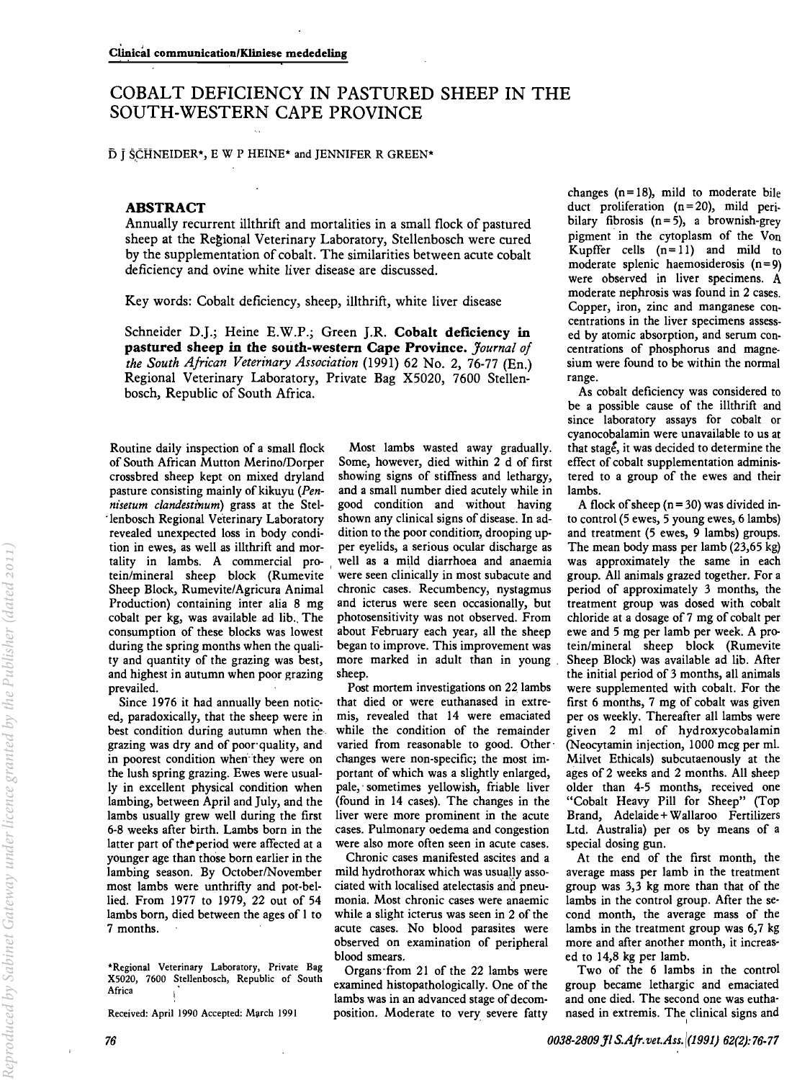## COBALT DEFICIENCY IN PASTURED SHEEP IN THE SOUTH-WESTERN CAPE PROVINCE

 $\overline{D}$   $\overline{I}$  SCHNEIDER\*, E W P HEINE\* and JENNIFER R GREEN\*

## ABSTRACT

Annually recurrent illthrift and mortalities in a small flock of pastured sheep at the Regional Veterinary Laboratory, Stellenbosch were cured by the supplementation of cobalt. The similarities between acute cobalt deficiency and ovine white liver disease are discussed.

Key words: Cobalt deficiency, sheep, illthrift, white liver disease

Schneider D.J.; Heine E.W.P.; Green J.R. Cobalt deficiency in pastured sheep in the south-western Cape Province. *Journal of the South African Veterinary Association* (1991) 62 No. 2, 76-77 (En.) Regional Veterinary Laboratory, Private Bag X5020, 7600 Stellenbosch, Republic of South Africa.

of South African Mutton Merino/Dorper Some, however, died within 2 d of first crossbred sheep kept on mixed dryland showing signs of stiffness and lethargy, pasture consisting mainly of kikuyu (Pen*nisetum clandestinum*) grass at the Stel- good condition and without having<br>lenbosch Regional Veterinary Laboratory shown any clinical signs of disease. In ad-'lenbosch Regional Veterinary Laboratory shown any clinical signs of disease. In adrevealed unexpected loss in body condition in ewes, as well as illthrift and mor- per eyelids, a serious ocular discharge as tality in lambs. A commercial pro- well as a mild diarrhoea and anaemia tein/mineral sheep block (Rumevite were seen clinically in most subacute and Sheep Block, Rumevite/Agricura Animal chronic cases. Recumbency, nystagmus Production) containing inter alia 8 mg and icterus were seen occasionally, but cobalt per kg, was available ad lib. The photosensitivity was not observed. From consumption of these blocks was lowest about February each year, all the sheep during the spring months when the quali-<br>began to improve. This improvement was during the spring months when the quality and quantity of the grazing was best, more marked in adult than in young and highest in autumn when poor grazing sheep. prevailed. Post mortem investigations on 22. lambs

best condition during autumn when the, while the condition of the remainder in poorest condition when they were on changes were non-specific; the most imthe lush spring grazing. Ewes were usual- portant of which was a slightly enlarged, ly in excellent physical condition when pale, 'sometimes yellowish, friable liver lambing, between April and July, and the (found in 14 cases). The changes in the lambs usually grew well during the first liver were more prominent in the acute 6-8 weeks after birth. Lambs born in the cases. Pulmonary oedema and congestion latter part of the period were affected at a were also more often seen in acute cases. younger age than those born earlier in the Chronic cases manifested ascites and a lambing season. By October/November mild hydrothorax which was usually assomost lambs were unthrifty and pot-bel- ciated with localised atelectasis and pneulied. From 1977 to 1979, 22 out of 54 monia. Most chronic cases were anaemic lambs born, died between the ages of I to while a slight icterus was seen in 2 of the 7 months. acute cases. No blood parasites were

Received: April 1990 Accepted: March 1991

Routine daily inspection of a small flock Most lambs wasted away gradually.<br>of South African Mutton Merino/Dorper Some, however, died within 2 d of first crossbred sheep kept on mixed dryland showing signs of stiffness and lethargy, pasture consisting mainly of kikuyu ( $Pen$ - and a small number died acutely while in

Since 1976 it had annually been notic- that died or were euthanased in extreed, paradoxically, that the sheep were in mis, revealed that 14 were emaciated grazing was dry and of poor' quality, and varied from reasonable to good. Other'

> observed on examination of peripheral blood smears.

> Organs-from 21 of the 22 lambs were examined histopathologically. One of the lambs was in an advanced stage of decomposition. Moderate to very severe fatty

changes  $(n=18)$ , mild to moderate bile duct proliferation  $(n=20)$ , mild peribilary fibrosis  $(n=5)$ , a brownish-grey pigment in the cytoplasm of the Von Kupffer cells  $(n=11)$  and mild to moderate splenic haemosiderosis  $(n=9)$ were observed in liver specimens. A moderate nephrosis was found in 2 cases. Copper, iron, zinc and manganese concentrations in the liver specimens assessed by atomic absorption, and serum concentrations of phosphorus and magnesium were found to be within the normal range.

As cobalt deficiency was considered to be a possible cause of the illthrift and since laboratory assays for cobalt or cyanocobalamin were unavailable to us at that stage, it was decided to determine the effect of cobalt supplementation administered to a group of the ewes and their lambs.

A flock of sheep ( $n = 30$ ) was divided into control (5 ewes, 5 young ewes, 6 lambs) and treatment (5 ewes, 9 lambs) groups. The mean body mass per lamb (23,65 kg) was approximately the same in each group. All animals grazed together. For a period of approximately 3 months, the treatment group was dosed with cobalt chloride at a dosage of 7 mg of cobalt per ewe and 5 mg per lamb per week. A protein/mineral sheep block (Rumevite Sheep Block) was available ad lib. After the initial period of 3 months, all animals were supplemented with cobalt. For the first 6 months, 7 mg of cobalt was given per os weekly. Thereafter all lambs were given 2 ml of hydroxycobalamin (Neocytamin injection, 1000 mcg per ml. Milvet Ethicals) subcutaenously at the ages of 2 weeks and 2 months. All sheep older than 4-5 months, received one "Cobalt Heavy Pill for Sheep" (Top Brand, Adelaide + Wallaroo Fertilizers Ltd. Australia) per os by means of a special dosing gun.

At the end of the first month, the average mass per lamb in the treatment group was 3,3 kg more than that of the lambs in the control group. After the second month, the average mass of the lambs in the treatment group was 6,7 kg more and after another month, it increased to 14,8 kg per lamb.

Two of the 6 lambs in the control group became lethargic and emaciated and one died. The second one was euthanased in extremis. The clinical signs and

<sup>\*</sup>Regional Veterinary Laboratory, Private Bag X5020, 7600 Stellenbosch, Republic of South Africa